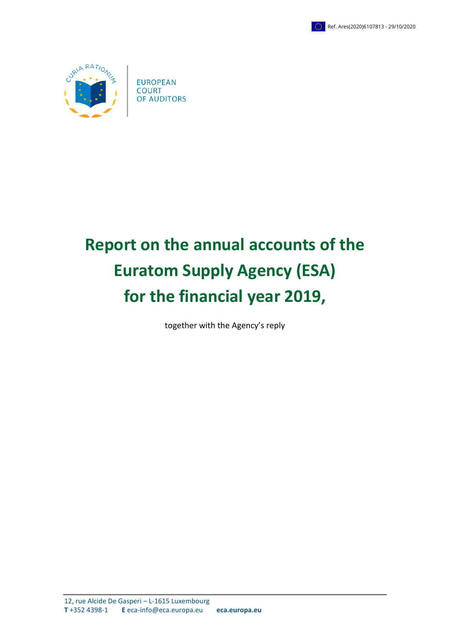



# **Report on the annual accounts of the Euratom Supply Agency (ESA) for the financial year 2019,**

together with the Agency's reply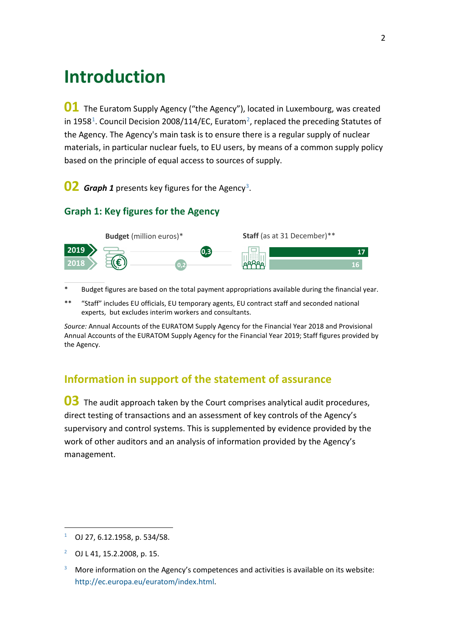## **Introduction**

**01** The Euratom Supply Agency ("the Agency"), located in Luxembourg, was created in 1958<sup>1</sup>. Council Decision 2008/114/EC, Euratom<sup>2</sup>, replaced the preceding Statutes of the Agency. The Agency's main task is to ensure there is a regular supply of nuclear materials, in particular nuclear fuels, to EU users, by means of a common supply policy based on the principle of equal access to sources of supply.

**02** *Graph 1* presents key figures for the Agency<sup>3</sup>.

#### **Graph 1: Key figures for the Agency**



- Budget figures are based on the total payment appropriations available during the financial year.
- \*\* "Staff" includes EU officials, EU temporary agents, EU contract staff and seconded national experts, but excludes interim workers and consultants.

*Source:* Annual Accounts of the EURATOM Supply Agency for the Financial Year 2018 and Provisional Annual Accounts of the EURATOM Supply Agency for the Financial Year 2019; Staff figures provided by the Agency.

### **Information in support of the statement of assurance**

**03** The audit approach taken by the Court comprises analytical audit procedures, direct testing of transactions and an assessment of key controls of the Agency's supervisory and control systems. This is supplemented by evidence provided by the work of other auditors and an analysis of information provided by the Agency's management.

<u>.</u>

<span id="page-1-0"></span> $1$  OJ 27, 6.12.1958, p. 534/58.

<span id="page-1-1"></span> $^{2}$  OJ L 41, 15, 2, 2008, p. 15.

<span id="page-1-2"></span> $3$  More information on the Agency's competences and activities is available on its website: [http://ec.europa.eu/euratom/index.html.](http://ec.europa.eu/euratom/index.html)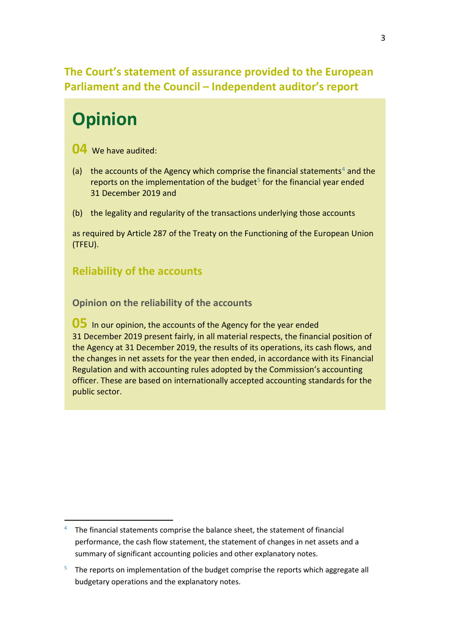## **The Court's statement of assurance provided to the European Parliament and the Council – Independent auditor's report**

## **Opinion**

**04** We have audited:

- (a) the accounts of the Agency which comprise the financial statements<sup>[4](#page-2-0)</sup> and the reports on the implementation of the budget $5$  for the financial year ended 31 December 2019 and
- (b) the legality and regularity of the transactions underlying those accounts

as required by Article 287 of the Treaty on the Functioning of the European Union (TFEU).

## **Reliability of the accounts**

**Opinion on the reliability of the accounts**

**05** In our opinion, the accounts of the Agency for the year ended 31 December 2019 present fairly, in all material respects, the financial position of the Agency at 31 December 2019, the results of its operations, its cash flows, and the changes in net assets for the year then ended, in accordance with its Financial Regulation and with accounting rules adopted by the Commission's accounting officer. These are based on internationally accepted accounting standards for the public sector.

<span id="page-2-0"></span> $4$  The financial statements comprise the balance sheet, the statement of financial performance, the cash flow statement, the statement of changes in net assets and a summary of significant accounting policies and other explanatory notes.

<span id="page-2-1"></span> $5$  The reports on implementation of the budget comprise the reports which aggregate all budgetary operations and the explanatory notes.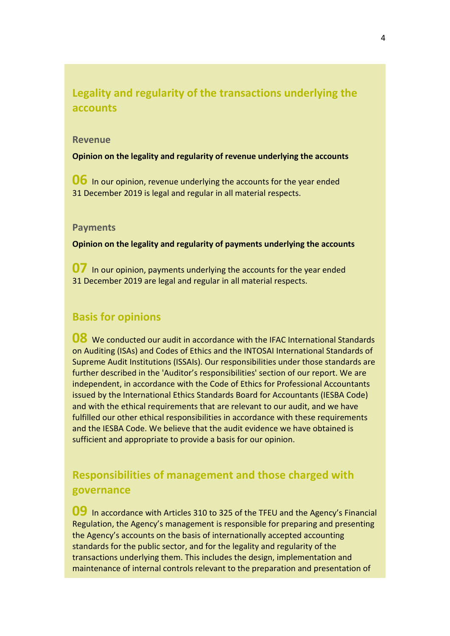## **Legality and regularity of the transactions underlying the accounts**

#### **Revenue**

**Opinion on the legality and regularity of revenue underlying the accounts**

**06** In our opinion, revenue underlying the accounts for the year ended 31 December 2019 is legal and regular in all material respects.

#### **Payments**

**Opinion on the legality and regularity of payments underlying the accounts**

**07** In our opinion, payments underlying the accounts for the year ended 31 December 2019 are legal and regular in all material respects.

### **Basis for opinions**

**08** We conducted our audit in accordance with the IFAC International Standards on Auditing (ISAs) and Codes of Ethics and the INTOSAI International Standards of Supreme Audit Institutions (ISSAIs). Our responsibilities under those standards are further described in the 'Auditor's responsibilities' section of our report. We are independent, in accordance with the Code of Ethics for Professional Accountants issued by the International Ethics Standards Board for Accountants (IESBA Code) and with the ethical requirements that are relevant to our audit, and we have fulfilled our other ethical responsibilities in accordance with these requirements and the IESBA Code. We believe that the audit evidence we have obtained is sufficient and appropriate to provide a basis for our opinion.

## **Responsibilities of management and those charged with governance**

**09** In accordance with Articles 310 to 325 of the TFEU and the Agency's Financial Regulation, the Agency's management is responsible for preparing and presenting the Agency's accounts on the basis of internationally accepted accounting standards for the public sector, and for the legality and regularity of the transactions underlying them. This includes the design, implementation and maintenance of internal controls relevant to the preparation and presentation of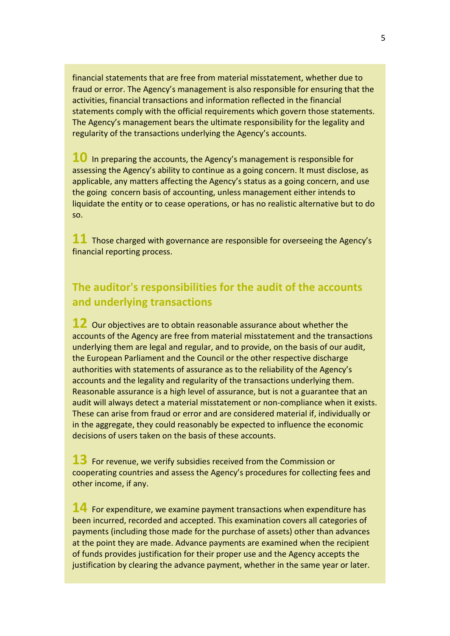financial statements that are free from material misstatement, whether due to fraud or error. The Agency's management is also responsible for ensuring that the activities, financial transactions and information reflected in the financial statements comply with the official requirements which govern those statements. The Agency's management bears the ultimate responsibility for the legality and regularity of the transactions underlying the Agency's accounts.

**10** In preparing the accounts, the Agency's management is responsible for assessing the Agency's ability to continue as a going concern. It must disclose, as applicable, any matters affecting the Agency's status as a going concern, and use the going concern basis of accounting, unless management either intends to liquidate the entity or to cease operations, or has no realistic alternative but to do so.

**11** Those charged with governance are responsible for overseeing the Agency's financial reporting process.

## **The auditor's responsibilities for the audit of the accounts and underlying transactions**

**12** Our objectives are to obtain reasonable assurance about whether the accounts of the Agency are free from material misstatement and the transactions underlying them are legal and regular, and to provide, on the basis of our audit, the European Parliament and the Council or the other respective discharge authorities with statements of assurance as to the reliability of the Agency's accounts and the legality and regularity of the transactions underlying them. Reasonable assurance is a high level of assurance, but is not a guarantee that an audit will always detect a material misstatement or non-compliance when it exists. These can arise from fraud or error and are considered material if, individually or in the aggregate, they could reasonably be expected to influence the economic decisions of users taken on the basis of these accounts.

**13** For revenue, we verify subsidies received from the Commission or cooperating countries and assess the Agency's procedures for collecting fees and other income, if any.

**14** For expenditure, we examine payment transactions when expenditure has been incurred, recorded and accepted. This examination covers all categories of payments (including those made for the purchase of assets) other than advances at the point they are made. Advance payments are examined when the recipient of funds provides justification for their proper use and the Agency accepts the justification by clearing the advance payment, whether in the same year or later.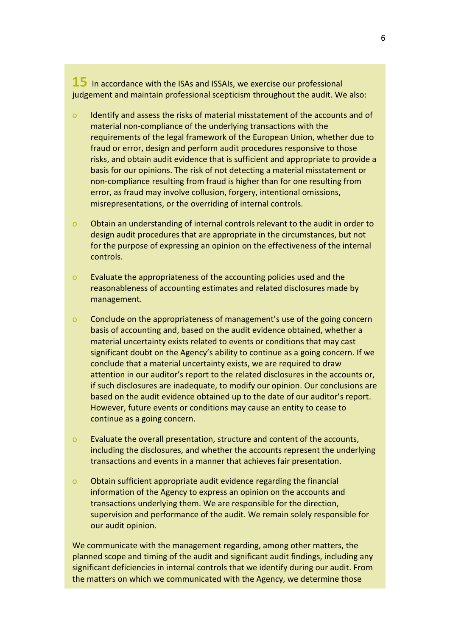**15** In accordance with the ISAs and ISSAIs, we exercise our professional judgement and maintain professional scepticism throughout the audit. We also:

- o Identify and assess the risks of material misstatement of the accounts and of material non-compliance of the underlying transactions with the requirements of the legal framework of the European Union, whether due to fraud or error, design and perform audit procedures responsive to those risks, and obtain audit evidence that is sufficient and appropriate to provide a basis for our opinions. The risk of not detecting a material misstatement or non-compliance resulting from fraud is higher than for one resulting from error, as fraud may involve collusion, forgery, intentional omissions, misrepresentations, or the overriding of internal controls.
- o Obtain an understanding of internal controls relevant to the audit in order to design audit procedures that are appropriate in the circumstances, but not for the purpose of expressing an opinion on the effectiveness of the internal controls.
- o Evaluate the appropriateness of the accounting policies used and the reasonableness of accounting estimates and related disclosures made by management.
- o Conclude on the appropriateness of management's use of the going concern basis of accounting and, based on the audit evidence obtained, whether a material uncertainty exists related to events or conditions that may cast significant doubt on the Agency's ability to continue as a going concern. If we conclude that a material uncertainty exists, we are required to draw attention in our auditor's report to the related disclosures in the accounts or, if such disclosures are inadequate, to modify our opinion. Our conclusions are based on the audit evidence obtained up to the date of our auditor's report. However, future events or conditions may cause an entity to cease to continue as a going concern.
- o Evaluate the overall presentation, structure and content of the accounts, including the disclosures, and whether the accounts represent the underlying transactions and events in a manner that achieves fair presentation.
- o Obtain sufficient appropriate audit evidence regarding the financial information of the Agency to express an opinion on the accounts and transactions underlying them. We are responsible for the direction, supervision and performance of the audit. We remain solely responsible for our audit opinion.

We communicate with the management regarding, among other matters, the planned scope and timing of the audit and significant audit findings, including any significant deficiencies in internal controls that we identify during our audit. From the matters on which we communicated with the Agency, we determine those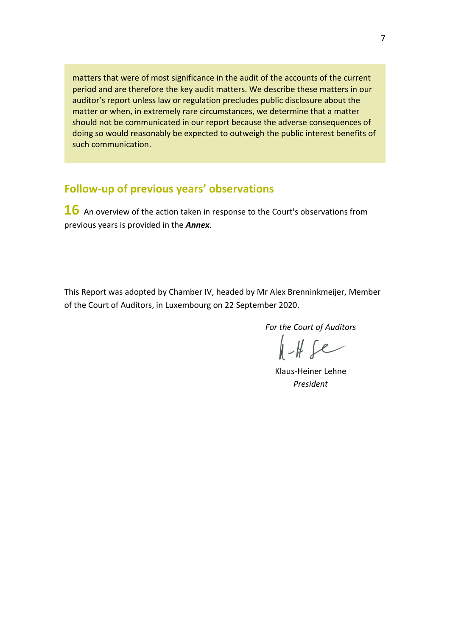matters that were of most significance in the audit of the accounts of the current period and are therefore the key audit matters. We describe these matters in our auditor's report unless law or regulation precludes public disclosure about the matter or when, in extremely rare circumstances, we determine that a matter should not be communicated in our report because the adverse consequences of doing so would reasonably be expected to outweigh the public interest benefits of such communication.

### **Follow-up of previous years' observations**

**16** An overview of the action taken in response to the Court's observations from previous years is provided in the *Annex*.

This Report was adopted by Chamber IV, headed by Mr Alex Brenninkmeijer, Member of the Court of Auditors, in Luxembourg on 22 September 2020.

*For the Court of Auditors*

 $HHe$ 

Klaus-Heiner Lehne *President*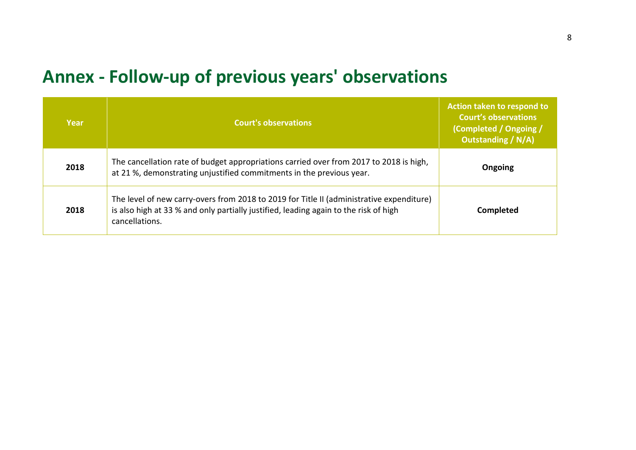## **Annex - Follow-up of previous years' observations**

| Year | <b>Court's observations</b>                                                                                                                                                                        | Action taken to respond to<br><b>Court's observations</b><br>(Completed / Ongoing /<br><b>Outstanding / N/A)</b> |
|------|----------------------------------------------------------------------------------------------------------------------------------------------------------------------------------------------------|------------------------------------------------------------------------------------------------------------------|
| 2018 | The cancellation rate of budget appropriations carried over from 2017 to 2018 is high,<br>at 21 %, demonstrating unjustified commitments in the previous year.                                     | Ongoing                                                                                                          |
| 2018 | The level of new carry-overs from 2018 to 2019 for Title II (administrative expenditure)<br>is also high at 33 % and only partially justified, leading again to the risk of high<br>cancellations. | <b>Completed</b>                                                                                                 |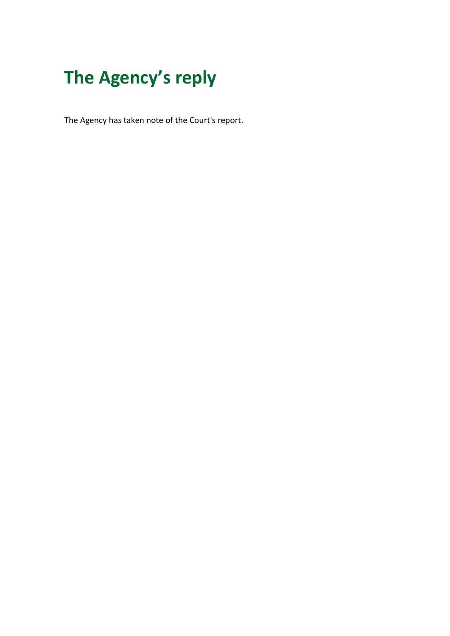# **The Agency's reply**

The Agency has taken note of the Court's report.